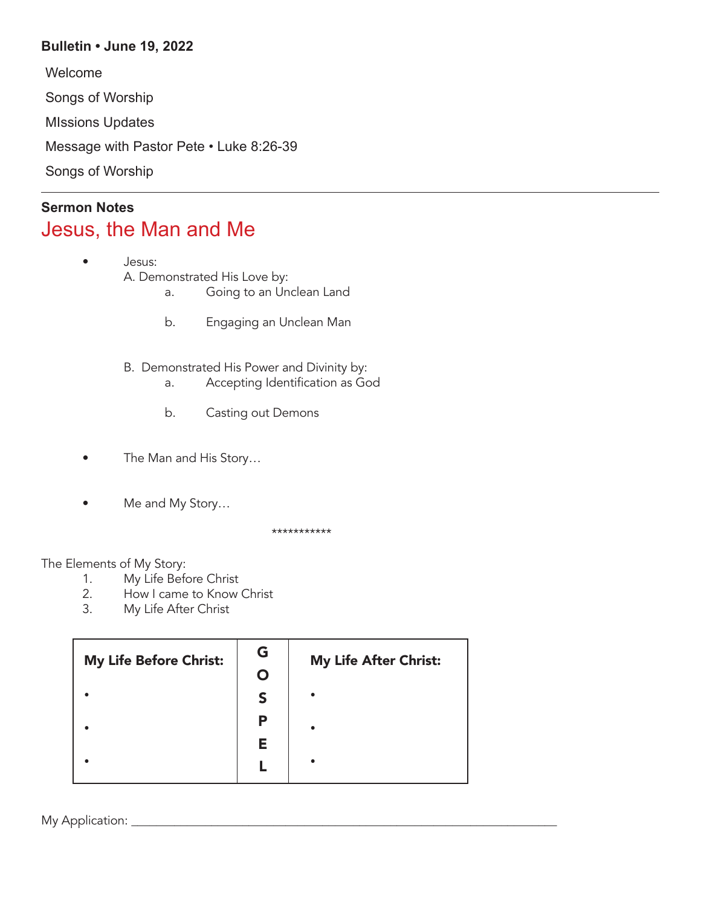## **Bulletin • June 19, 2022**

Welcome Songs of Worship MIssions Updates Message with Pastor Pete • Luke 8:26-39 Songs of Worship

## **Sermon Notes** Jesus, the Man and Me

- Jesus: A. Demonstrated His Love by:
	- a. Going to an Unclean Land
	- b. Engaging an Unclean Man
	- B. Demonstrated His Power and Divinity by:
		- a. Accepting Identification as God
		- b. Casting out Demons
- The Man and His Story…
- Me and My Story...

\*\*\*\*\*\*\*\*\*\*\*

## The Elements of My Story:

- 1. My Life Before Christ
- 2. How I came to Know Christ
- 3. My Life After Christ

| My Life Before Christ: | G | <b>My Life After Christ:</b> |
|------------------------|---|------------------------------|
|                        |   |                              |
|                        |   |                              |
|                        | Р |                              |
|                        | Е |                              |
|                        |   |                              |

My Application: \_